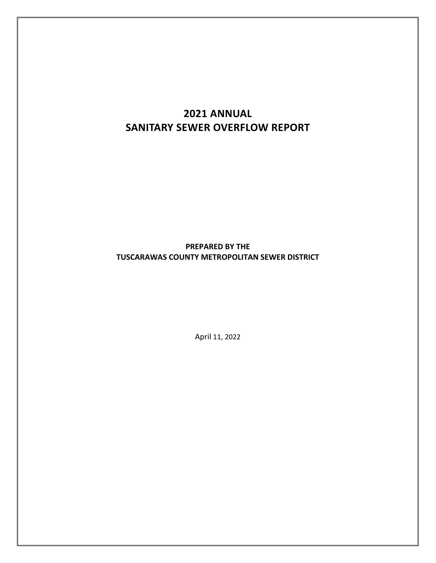# **2021 ANNUAL SANITARY SEWER OVERFLOW REPORT**

## **PREPARED BY THE TUSCARAWAS COUNTY METROPOLITAN SEWER DISTRICT**

April 11, 2022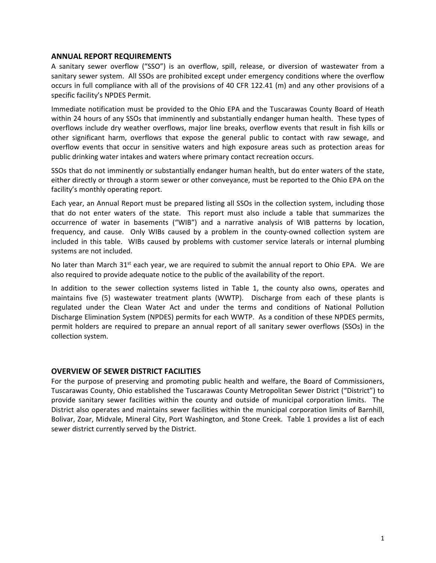## **ANNUAL REPORT REQUIREMENTS**

A sanitary sewer overflow ("SSO") is an overflow, spill, release, or diversion of wastewater from a sanitary sewer system. All SSOs are prohibited except under emergency conditions where the overflow occurs in full compliance with all of the provisions of 40 CFR 122.41 (m) and any other provisions of a specific facility's NPDES Permit.

Immediate notification must be provided to the Ohio EPA and the Tuscarawas County Board of Heath within 24 hours of any SSOs that imminently and substantially endanger human health. These types of overflows include dry weather overflows, major line breaks, overflow events that result in fish kills or other significant harm, overflows that expose the general public to contact with raw sewage, and overflow events that occur in sensitive waters and high exposure areas such as protection areas for public drinking water intakes and waters where primary contact recreation occurs.

SSOs that do not imminently or substantially endanger human health, but do enter waters of the state, either directly or through a storm sewer or other conveyance, must be reported to the Ohio EPA on the facility's monthly operating report.

Each year, an Annual Report must be prepared listing all SSOs in the collection system, including those that do not enter waters of the state. This report must also include a table that summarizes the occurrence of water in basements ("WIB") and a narrative analysis of WIB patterns by location, frequency, and cause. Only WIBs caused by a problem in the county-owned collection system are included in this table. WIBs caused by problems with customer service laterals or internal plumbing systems are not included.

No later than March  $31^{st}$  each year, we are required to submit the annual report to Ohio EPA. We are also required to provide adequate notice to the public of the availability of the report.

In addition to the sewer collection systems listed in Table 1, the county also owns, operates and maintains five (5) wastewater treatment plants (WWTP). Discharge from each of these plants is regulated under the Clean Water Act and under the terms and conditions of National Pollution Discharge Elimination System (NPDES) permits for each WWTP. As a condition of these NPDES permits, permit holders are required to prepare an annual report of all sanitary sewer overflows (SSOs) in the collection system.

## **OVERVIEW OF SEWER DISTRICT FACILITIES**

For the purpose of preserving and promoting public health and welfare, the Board of Commissioners, Tuscarawas County, Ohio established the Tuscarawas County Metropolitan Sewer District ("District") to provide sanitary sewer facilities within the county and outside of municipal corporation limits. The District also operates and maintains sewer facilities within the municipal corporation limits of Barnhill, Bolivar, Zoar, Midvale, Mineral City, Port Washington, and Stone Creek. Table 1 provides a list of each sewer district currently served by the District.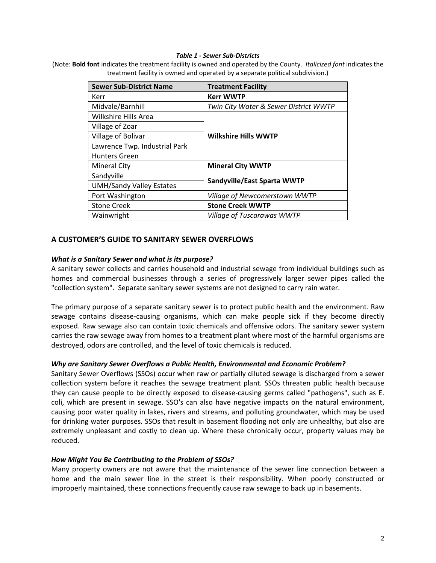#### *Table 1 ‐ Sewer Sub‐Districts*

(Note: **Bold font** indicates the treatment facility is owned and operated by the County. *Italicized font* indicates the treatment facility is owned and operated by a separate political subdivision.)

| <b>Sewer Sub-District Name</b>  | <b>Treatment Facility</b>             |  |  |
|---------------------------------|---------------------------------------|--|--|
| Kerr                            | <b>Kerr WWTP</b>                      |  |  |
| Midvale/Barnhill                | Twin City Water & Sewer District WWTP |  |  |
| Wilkshire Hills Area            | <b>Wilkshire Hills WWTP</b>           |  |  |
| Village of Zoar                 |                                       |  |  |
| Village of Bolivar              |                                       |  |  |
| Lawrence Twp. Industrial Park   |                                       |  |  |
| <b>Hunters Green</b>            |                                       |  |  |
| <b>Mineral City</b>             | <b>Mineral City WWTP</b>              |  |  |
| Sandyville                      | Sandyville/East Sparta WWTP           |  |  |
| <b>UMH/Sandy Valley Estates</b> |                                       |  |  |
| Port Washington                 | Village of Newcomerstown WWTP         |  |  |
| <b>Stone Creek</b>              | <b>Stone Creek WWTP</b>               |  |  |
| Wainwright                      | Village of Tuscarawas WWTP            |  |  |

## **A CUSTOMER'S GUIDE TO SANITARY SEWER OVERFLOWS**

#### *What is a Sanitary Sewer and what is its purpose?*

A sanitary sewer collects and carries household and industrial sewage from individual buildings such as homes and commercial businesses through a series of progressively larger sewer pipes called the "collection system". Separate sanitary sewer systems are not designed to carry rain water.

The primary purpose of a separate sanitary sewer is to protect public health and the environment. Raw sewage contains disease-causing organisms, which can make people sick if they become directly exposed. Raw sewage also can contain toxic chemicals and offensive odors. The sanitary sewer system carries the raw sewage away from homes to a treatment plant where most of the harmful organisms are destroyed, odors are controlled, and the level of toxic chemicals is reduced.

#### *Why are Sanitary Sewer Overflows a Public Health, Environmental and Economic Problem?*

Sanitary Sewer Overflows (SSOs) occur when raw or partially diluted sewage is discharged from a sewer collection system before it reaches the sewage treatment plant. SSOs threaten public health because they can cause people to be directly exposed to disease-causing germs called "pathogens", such as E. coli, which are present in sewage. SSO's can also have negative impacts on the natural environment, causing poor water quality in lakes, rivers and streams, and polluting groundwater, which may be used for drinking water purposes. SSOs that result in basement flooding not only are unhealthy, but also are extremely unpleasant and costly to clean up. Where these chronically occur, property values may be reduced.

#### *How Might You Be Contributing to the Problem of SSOs?*

Many property owners are not aware that the maintenance of the sewer line connection between a home and the main sewer line in the street is their responsibility. When poorly constructed or improperly maintained, these connections frequently cause raw sewage to back up in basements.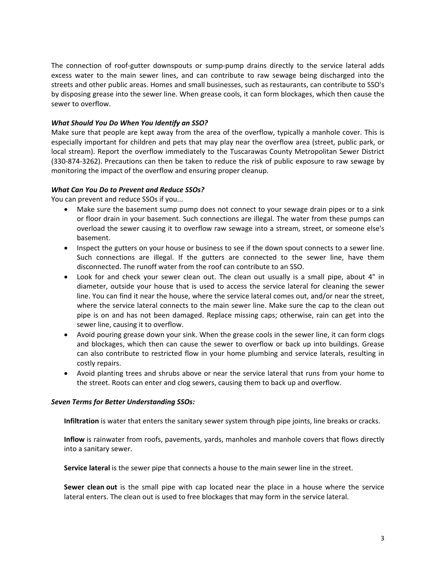The connection of roof-gutter downspouts or sump-pump drains directly to the service lateral adds excess water to the main sewer lines, and can contribute to raw sewage being discharged into the streets and other public areas. Homes and small businesses, such as restaurants, can contribute to SSO's by disposing grease into the sewer line. When grease cools, it can form blockages, which then cause the sewer to overflow.

## *What Should You Do When You Identify an SSO?*

Make sure that people are kept away from the area of the overflow, typically a manhole cover. This is especially important for children and pets that may play near the overflow area (street, public park, or local stream). Report the overflow immediately to the Tuscarawas County Metropolitan Sewer District (330‐874‐3262). Precautions can then be taken to reduce the risk of public exposure to raw sewage by monitoring the impact of the overflow and ensuring proper cleanup.

#### *What Can You Do to Prevent and Reduce SSOs?*

You can prevent and reduce SSOs if you...

- Make sure the basement sump pump does not connect to your sewage drain pipes or to a sink or floor drain in your basement. Such connections are illegal. The water from these pumps can overload the sewer causing it to overflow raw sewage into a stream, street, or someone else's basement.
- Inspect the gutters on your house or business to see if the down spout connects to a sewer line. Such connections are illegal. If the gutters are connected to the sewer line, have them disconnected. The runoff water from the roof can contribute to an SSO.
- Look for and check your sewer clean out. The clean out usually is a small pipe, about 4" in diameter, outside your house that is used to access the service lateral for cleaning the sewer line. You can find it near the house, where the service lateral comes out, and/or near the street, where the service lateral connects to the main sewer line. Make sure the cap to the clean out pipe is on and has not been damaged. Replace missing caps; otherwise, rain can get into the sewer line, causing it to overflow.
- Avoid pouring grease down your sink. When the grease cools in the sewer line, it can form clogs and blockages, which then can cause the sewer to overflow or back up into buildings. Grease can also contribute to restricted flow in your home plumbing and service laterals, resulting in costly repairs.
- Avoid planting trees and shrubs above or near the service lateral that runs from your home to the street. Roots can enter and clog sewers, causing them to back up and overflow.

#### *Seven Terms for Better Understanding SSOs:*

**Infiltration** is water that enters the sanitary sewer system through pipe joints, line breaks or cracks.

**Inflow** is rainwater from roofs, pavements, yards, manholes and manhole covers that flows directly into a sanitary sewer.

**Service lateral** is the sewer pipe that connects a house to the main sewer line in the street.

**Sewer clean out** is the small pipe with cap located near the place in a house where the service lateral enters. The clean out is used to free blockages that may form in the service lateral.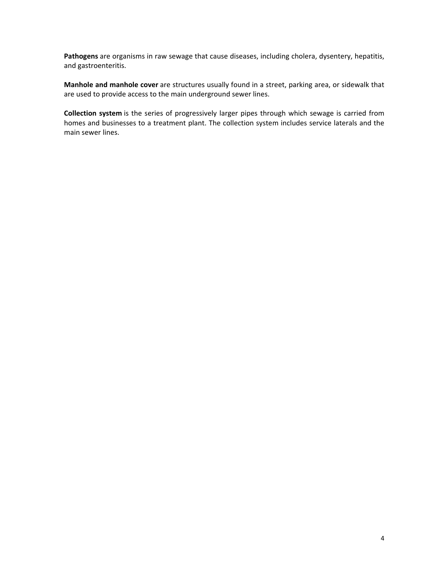**Pathogens** are organisms in raw sewage that cause diseases, including cholera, dysentery, hepatitis, and gastroenteritis.

**Manhole and manhole cover** are structures usually found in a street, parking area, or sidewalk that are used to provide access to the main underground sewer lines.

**Collection system** is the series of progressively larger pipes through which sewage is carried from homes and businesses to a treatment plant. The collection system includes service laterals and the main sewer lines.